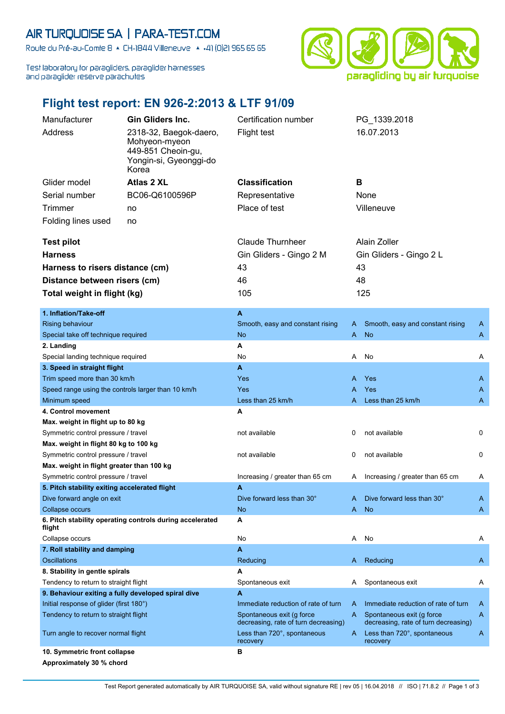## AIR TURQUOISE SA | PARA-TEST.COM

Route du Pré-au-Comte 8 & CH-1844 Villeneuve | 4 +41 (0)21 965 65 65

Test laboratory for paragliders, paraglider harnesses and paraglider reserve parachutes



## **Flight test report: EN 926-2:2013 & LTF 91/09**

| Manufacturer                                                                     |                                                                          | <b>Gin Gliders Inc.</b>                                  | Certification number                                                |                                 | PG 1339.2018                                                        |   |  |
|----------------------------------------------------------------------------------|--------------------------------------------------------------------------|----------------------------------------------------------|---------------------------------------------------------------------|---------------------------------|---------------------------------------------------------------------|---|--|
|                                                                                  | Address                                                                  | 2318-32, Baegok-daero,                                   | Flight test                                                         |                                 | 16.07.2013                                                          |   |  |
|                                                                                  |                                                                          | Mohyeon-myeon                                            |                                                                     |                                 |                                                                     |   |  |
|                                                                                  |                                                                          | 449-851 Cheoin-gu,<br>Yongin-si, Gyeonggi-do             |                                                                     |                                 |                                                                     |   |  |
|                                                                                  |                                                                          | Korea                                                    |                                                                     |                                 |                                                                     |   |  |
|                                                                                  | Glider model                                                             | Atlas 2 XL                                               | <b>Classification</b>                                               | в                               |                                                                     |   |  |
|                                                                                  | Serial number<br>BC06-Q6100596P                                          |                                                          | Representative                                                      | None                            |                                                                     |   |  |
|                                                                                  | Trimmer<br>no                                                            |                                                          | Place of test                                                       |                                 | Villeneuve                                                          |   |  |
|                                                                                  | Folding lines used<br>no                                                 |                                                          |                                                                     |                                 |                                                                     |   |  |
|                                                                                  |                                                                          |                                                          |                                                                     |                                 |                                                                     |   |  |
|                                                                                  | <b>Test pilot</b>                                                        |                                                          | <b>Claude Thurnheer</b>                                             |                                 | Alain Zoller                                                        |   |  |
| <b>Harness</b>                                                                   |                                                                          | Gin Gliders - Gingo 2 M                                  | Gin Gliders - Gingo 2 L                                             |                                 |                                                                     |   |  |
| Harness to risers distance (cm)                                                  |                                                                          |                                                          | 43                                                                  | 43                              |                                                                     |   |  |
| Distance between risers (cm)                                                     |                                                                          |                                                          | 46                                                                  | 48                              |                                                                     |   |  |
|                                                                                  | Total weight in flight (kg)                                              |                                                          | 105                                                                 |                                 | 125                                                                 |   |  |
|                                                                                  |                                                                          |                                                          |                                                                     |                                 |                                                                     |   |  |
|                                                                                  | 1. Inflation/Take-off                                                    |                                                          | A                                                                   |                                 |                                                                     |   |  |
|                                                                                  | <b>Rising behaviour</b>                                                  |                                                          | Smooth, easy and constant rising                                    | A                               | Smooth, easy and constant rising                                    | A |  |
|                                                                                  | Special take off technique required                                      |                                                          | <b>No</b>                                                           | A                               | <b>No</b>                                                           | A |  |
|                                                                                  | 2. Landing                                                               |                                                          | Α                                                                   |                                 |                                                                     |   |  |
|                                                                                  | Special landing technique required                                       |                                                          | No                                                                  | Α                               | No                                                                  | Α |  |
|                                                                                  | 3. Speed in straight flight                                              |                                                          | $\blacktriangle$                                                    |                                 |                                                                     |   |  |
|                                                                                  | Trim speed more than 30 km/h                                             |                                                          | Yes                                                                 | A                               | Yes                                                                 | A |  |
|                                                                                  | Speed range using the controls larger than 10 km/h                       |                                                          | Yes                                                                 | A                               | Yes                                                                 | A |  |
|                                                                                  | Minimum speed                                                            |                                                          | Less than 25 km/h<br>Α                                              | A                               | Less than 25 km/h                                                   | A |  |
|                                                                                  | 4. Control movement                                                      |                                                          |                                                                     |                                 |                                                                     |   |  |
|                                                                                  | Max. weight in flight up to 80 kg<br>Symmetric control pressure / travel |                                                          | not available                                                       | 0                               | not available                                                       | 0 |  |
| Max. weight in flight 80 kg to 100 kg                                            |                                                                          |                                                          |                                                                     |                                 |                                                                     |   |  |
| Symmetric control pressure / travel                                              |                                                                          | not available                                            | 0                                                                   | not available                   | 0                                                                   |   |  |
| Max. weight in flight greater than 100 kg<br>Symmetric control pressure / travel |                                                                          |                                                          |                                                                     |                                 |                                                                     |   |  |
|                                                                                  |                                                                          | Increasing / greater than 65 cm                          | Α                                                                   | Increasing / greater than 65 cm | A                                                                   |   |  |
|                                                                                  | 5. Pitch stability exiting accelerated flight                            |                                                          | A                                                                   |                                 |                                                                     |   |  |
|                                                                                  | Dive forward angle on exit                                               |                                                          | Dive forward less than 30°                                          | A                               | Dive forward less than 30°                                          | A |  |
|                                                                                  | Collapse occurs                                                          |                                                          | No                                                                  | A                               | <b>No</b>                                                           | A |  |
|                                                                                  | flight                                                                   | 6. Pitch stability operating controls during accelerated | A                                                                   |                                 |                                                                     |   |  |
|                                                                                  | Collapse occurs                                                          |                                                          | No                                                                  | Α                               | No                                                                  | A |  |
|                                                                                  | 7. Roll stability and damping                                            |                                                          | A                                                                   |                                 |                                                                     |   |  |
|                                                                                  | <b>Oscillations</b>                                                      |                                                          | Reducing                                                            | A                               | Reducing                                                            | A |  |
|                                                                                  | 8. Stability in gentle spirals                                           |                                                          | A                                                                   |                                 |                                                                     |   |  |
|                                                                                  | Tendency to return to straight flight                                    |                                                          | Spontaneous exit                                                    | A                               | Spontaneous exit                                                    | A |  |
|                                                                                  | 9. Behaviour exiting a fully developed spiral dive                       |                                                          | A                                                                   |                                 |                                                                     |   |  |
|                                                                                  | Initial response of glider (first 180°)                                  |                                                          | Immediate reduction of rate of turn                                 | A                               | Immediate reduction of rate of turn                                 | A |  |
|                                                                                  | Tendency to return to straight flight                                    |                                                          | Spontaneous exit (g force                                           | A                               | Spontaneous exit (g force                                           | A |  |
|                                                                                  | Turn angle to recover normal flight                                      |                                                          | decreasing, rate of turn decreasing)<br>Less than 720°, spontaneous | A                               | decreasing, rate of turn decreasing)<br>Less than 720°, spontaneous | A |  |
|                                                                                  |                                                                          |                                                          | recovery<br>в                                                       |                                 | recovery                                                            |   |  |
|                                                                                  | 10. Symmetric front collapse<br>Approximately 30 % chord                 |                                                          |                                                                     |                                 |                                                                     |   |  |
|                                                                                  |                                                                          |                                                          |                                                                     |                                 |                                                                     |   |  |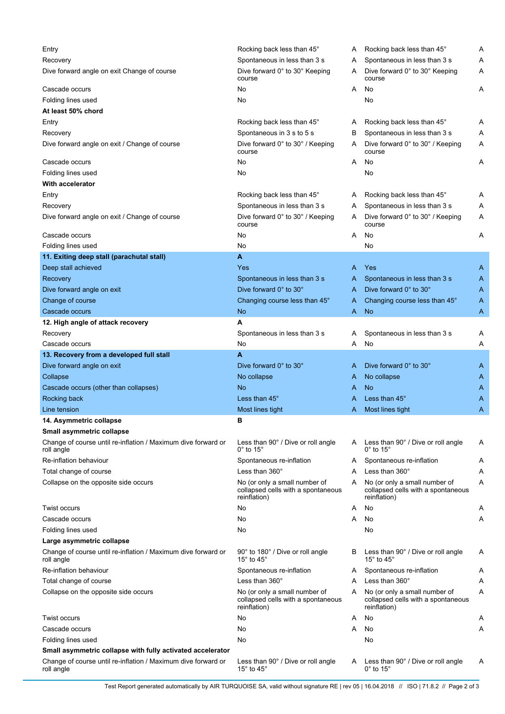| Entry                                                                       | Rocking back less than 45°                                                          | A | Rocking back less than 45°                                                          | Α |
|-----------------------------------------------------------------------------|-------------------------------------------------------------------------------------|---|-------------------------------------------------------------------------------------|---|
| Recovery                                                                    | Spontaneous in less than 3 s                                                        | A | Spontaneous in less than 3 s                                                        | A |
| Dive forward angle on exit Change of course                                 | Dive forward 0° to 30° Keeping<br>course                                            | A | Dive forward 0° to 30° Keeping<br>course                                            | Α |
| Cascade occurs                                                              | No                                                                                  | A | No                                                                                  | A |
| Folding lines used                                                          | No                                                                                  |   | No                                                                                  |   |
| At least 50% chord                                                          |                                                                                     |   |                                                                                     |   |
| Entry                                                                       | Rocking back less than 45°                                                          | A | Rocking back less than 45°                                                          | A |
| Recovery                                                                    | Spontaneous in 3 s to 5 s                                                           | в | Spontaneous in less than 3 s                                                        | Α |
| Dive forward angle on exit / Change of course                               | Dive forward 0° to 30° / Keeping<br>course                                          | A | Dive forward 0° to 30° / Keeping<br>course                                          | Α |
| Cascade occurs                                                              | No                                                                                  | A | No                                                                                  | Α |
| Folding lines used                                                          | No                                                                                  |   | No                                                                                  |   |
| <b>With accelerator</b>                                                     |                                                                                     |   |                                                                                     |   |
| Entry                                                                       | Rocking back less than 45°                                                          | A | Rocking back less than 45°                                                          | Α |
| Recovery                                                                    | Spontaneous in less than 3 s                                                        | A | Spontaneous in less than 3 s                                                        | Α |
| Dive forward angle on exit / Change of course                               | Dive forward 0° to 30° / Keeping<br>course                                          | A | Dive forward 0° to 30° / Keeping<br>course                                          | Α |
| Cascade occurs                                                              | No                                                                                  | A | No                                                                                  | Α |
| Folding lines used                                                          | No                                                                                  |   | No                                                                                  |   |
| 11. Exiting deep stall (parachutal stall)                                   | A                                                                                   |   |                                                                                     |   |
| Deep stall achieved                                                         | Yes                                                                                 | A | Yes                                                                                 | A |
| Recovery                                                                    | Spontaneous in less than 3 s                                                        | A | Spontaneous in less than 3 s                                                        | A |
|                                                                             |                                                                                     |   | Dive forward 0° to 30°                                                              |   |
| Dive forward angle on exit                                                  | Dive forward 0° to 30°                                                              | A |                                                                                     | A |
| Change of course                                                            | Changing course less than 45°                                                       | A | Changing course less than 45°                                                       | A |
| Cascade occurs                                                              | <b>No</b>                                                                           | A | <b>No</b>                                                                           | A |
| 12. High angle of attack recovery                                           | A                                                                                   |   |                                                                                     |   |
| Recovery                                                                    | Spontaneous in less than 3 s                                                        | A | Spontaneous in less than 3 s                                                        | A |
| Cascade occurs                                                              | No                                                                                  | A | No                                                                                  | Α |
| 13. Recovery from a developed full stall                                    | A                                                                                   |   |                                                                                     |   |
| Dive forward angle on exit                                                  | Dive forward 0° to 30°                                                              | A | Dive forward 0° to 30°                                                              | A |
| Collapse                                                                    | No collapse                                                                         | A | No collapse                                                                         | A |
| Cascade occurs (other than collapses)                                       | No                                                                                  | A | No                                                                                  | A |
| Rocking back                                                                | Less than 45°                                                                       | A | Less than $45^\circ$                                                                | Α |
| Line tension                                                                | Most lines tight                                                                    | A | Most lines tight                                                                    | Α |
| 14. Asymmetric collapse                                                     | в                                                                                   |   |                                                                                     |   |
| Small asymmetric collapse                                                   |                                                                                     |   |                                                                                     |   |
| Change of course until re-inflation / Maximum dive forward or<br>roll angle | Less than 90° / Dive or roll angle<br>$0^\circ$ to 15 $^\circ$                      |   | A Less than 90° / Dive or roll angle<br>$0^{\circ}$ to 15 $^{\circ}$                | A |
| Re-inflation behaviour                                                      | Spontaneous re-inflation                                                            | A | Spontaneous re-inflation                                                            | A |
| Total change of course                                                      | Less than $360^\circ$                                                               | A | Less than $360^\circ$                                                               | Α |
| Collapse on the opposite side occurs                                        | No (or only a small number of<br>collapsed cells with a spontaneous<br>reinflation) | A | No (or only a small number of<br>collapsed cells with a spontaneous<br>reinflation) | Α |
| Twist occurs                                                                | No                                                                                  | A | No                                                                                  | Α |
| Cascade occurs                                                              | No                                                                                  | A | No                                                                                  | Α |
| Folding lines used                                                          | No                                                                                  |   | No                                                                                  |   |
| Large asymmetric collapse                                                   |                                                                                     |   |                                                                                     |   |
| Change of course until re-inflation / Maximum dive forward or<br>roll angle | 90° to 180° / Dive or roll angle<br>15 $^{\circ}$ to 45 $^{\circ}$                  | в | Less than 90° / Dive or roll angle<br>15 $^{\circ}$ to 45 $^{\circ}$                | A |
| Re-inflation behaviour                                                      | Spontaneous re-inflation                                                            | A | Spontaneous re-inflation                                                            | Α |
| Total change of course                                                      | Less than $360^\circ$                                                               | A | Less than 360°                                                                      | Α |
| Collapse on the opposite side occurs                                        | No (or only a small number of<br>collapsed cells with a spontaneous<br>reinflation) | A | No (or only a small number of<br>collapsed cells with a spontaneous<br>reinflation) | Α |
| Twist occurs                                                                | No                                                                                  | A | No                                                                                  | A |
| Cascade occurs                                                              | No                                                                                  | A | No                                                                                  | Α |
| Folding lines used                                                          | No                                                                                  |   | No                                                                                  |   |
| Small asymmetric collapse with fully activated accelerator                  |                                                                                     |   |                                                                                     |   |
| Change of course until re-inflation / Maximum dive forward or<br>roll angle | Less than 90° / Dive or roll angle<br>15 $\degree$ to 45 $\degree$                  | A | Less than 90° / Dive or roll angle<br>$0^\circ$ to 15 $^\circ$                      | Α |